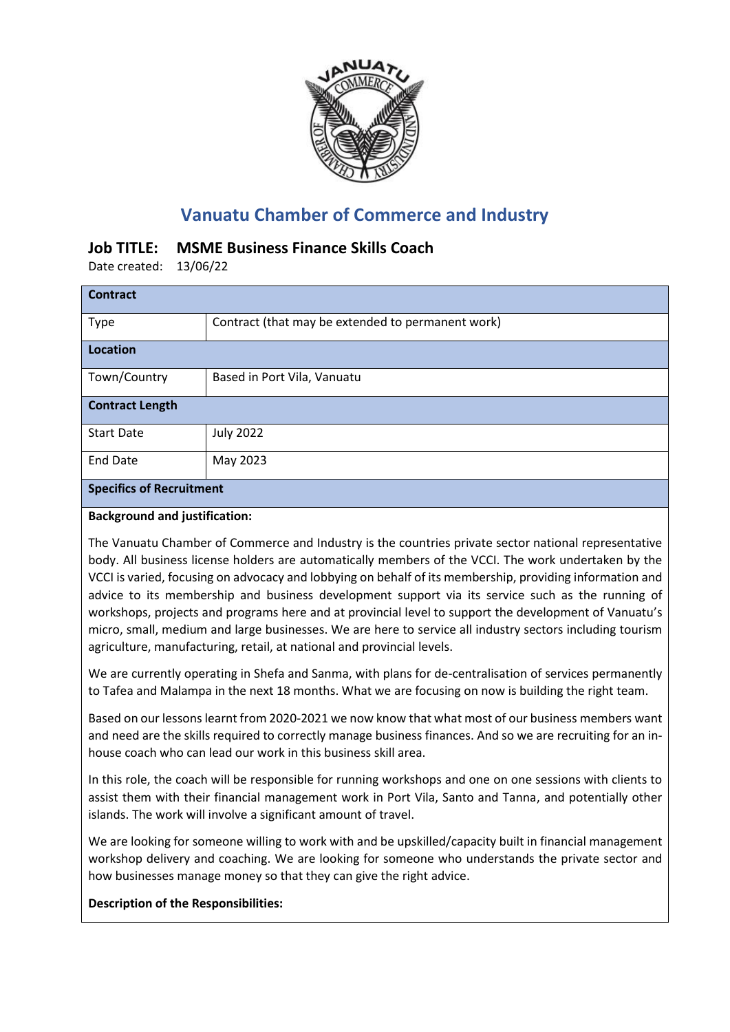

# **Vanuatu Chamber of Commerce and Industry**

## **Job TITLE: MSME Business Finance Skills Coach**

Date created: 13/06/22

| <b>Contract</b>                 |                                                   |
|---------------------------------|---------------------------------------------------|
| <b>Type</b>                     | Contract (that may be extended to permanent work) |
| <b>Location</b>                 |                                                   |
| Town/Country                    | Based in Port Vila, Vanuatu                       |
| <b>Contract Length</b>          |                                                   |
| <b>Start Date</b>               | <b>July 2022</b>                                  |
| <b>End Date</b>                 | May 2023                                          |
| <b>Specifics of Recruitment</b> |                                                   |

#### **Background and justification:**

The Vanuatu Chamber of Commerce and Industry is the countries private sector national representative body. All business license holders are automatically members of the VCCI. The work undertaken by the VCCI is varied, focusing on advocacy and lobbying on behalf of its membership, providing information and advice to its membership and business development support via its service such as the running of workshops, projects and programs here and at provincial level to support the development of Vanuatu's micro, small, medium and large businesses. We are here to service all industry sectors including tourism agriculture, manufacturing, retail, at national and provincial levels.

We are currently operating in Shefa and Sanma, with plans for de-centralisation of services permanently to Tafea and Malampa in the next 18 months. What we are focusing on now is building the right team.

Based on our lessons learnt from 2020-2021 we now know that what most of our business members want and need are the skills required to correctly manage business finances. And so we are recruiting for an inhouse coach who can lead our work in this business skill area.

In this role, the coach will be responsible for running workshops and one on one sessions with clients to assist them with their financial management work in Port Vila, Santo and Tanna, and potentially other islands. The work will involve a significant amount of travel.

We are looking for someone willing to work with and be upskilled/capacity built in financial management workshop delivery and coaching. We are looking for someone who understands the private sector and how businesses manage money so that they can give the right advice.

#### **Description of the Responsibilities:**